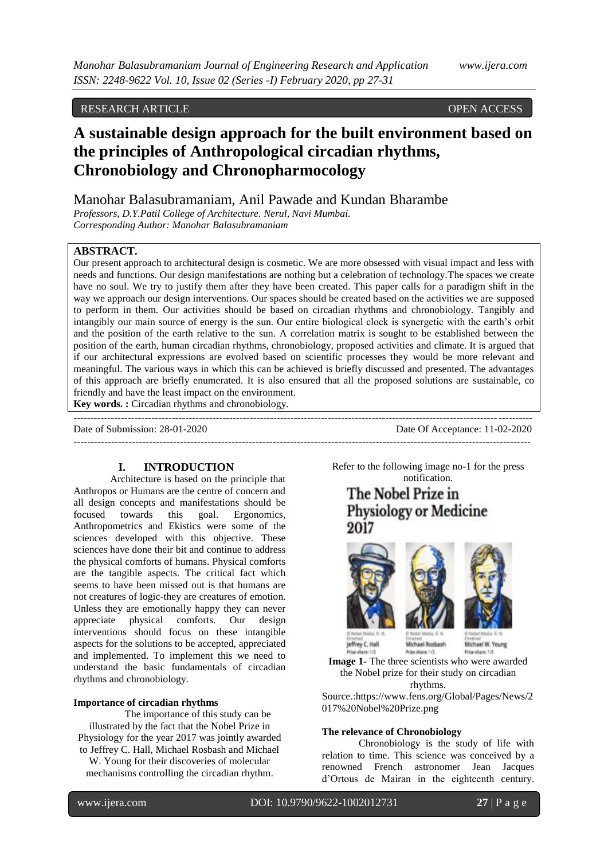# RESEARCH ARTICLE **CONSERVANCESS**

# **A sustainable design approach for the built environment based on the principles of Anthropological circadian rhythms, Chronobiology and Chronopharmocology**

Manohar Balasubramaniam, Anil Pawade and Kundan Bharambe

*Professors, D.Y.Patil College of Architecture. Nerul, Navi Mumbai. Corresponding Author: Manohar Balasubramaniam*

# **ABSTRACT.**

Our present approach to architectural design is cosmetic. We are more obsessed with visual impact and less with needs and functions. Our design manifestations are nothing but a celebration of technology.The spaces we create have no soul. We try to justify them after they have been created. This paper calls for a paradigm shift in the way we approach our design interventions. Our spaces should be created based on the activities we are supposed to perform in them. Our activities should be based on circadian rhythms and chronobiology. Tangibly and intangibly our main source of energy is the sun. Our entire biological clock is synergetic with the earth's orbit and the position of the earth relative to the sun. A correlation matrix is sought to be established between the position of the earth, human circadian rhythms, chronobiology, proposed activities and climate. It is argued that if our architectural expressions are evolved based on scientific processes they would be more relevant and meaningful. The various ways in which this can be achieved is briefly discussed and presented. The advantages of this approach are briefly enumerated. It is also ensured that all the proposed solutions are sustainable, co friendly and have the least impact on the environment.

**Key words. :** Circadian rhythms and chronobiology.

--------------------------------------------------------------------------------------------------------------------------------------- Date of Submission: 28-01-2020 Date Of Acceptance: 11-02-2020

-------------------------------------------------------------------------------------------------------------------------------------

# **I. INTRODUCTION**

Architecture is based on the principle that Anthropos or Humans are the centre of concern and all design concepts and manifestations should be focused towards this goal. Ergonomics, Anthropometrics and Ekistics were some of the sciences developed with this objective. These sciences have done their bit and continue to address the physical comforts of humans. Physical comforts are the tangible aspects. The critical fact which seems to have been missed out is that humans are not creatures of logic-they are creatures of emotion. Unless they are emotionally happy they can never appreciate physical comforts. Our design interventions should focus on these intangible aspects for the solutions to be accepted, appreciated and implemented. To implement this we need to understand the basic fundamentals of circadian rhythms and chronobiology.

## **Importance of circadian rhythms**

The importance of this study can be illustrated by the fact that the Nobel Prize in Physiology for the year 2017 was jointly awarded to Jeffrey C. Hall, Michael Rosbash and Michael W. Young for their discoveries of molecular mechanisms controlling the circadian rhythm.

Refer to the following image no-1 for the press notification.

The Nobel Prize in **Physiology or Medicine** 2017



Jeffrey C. Hall Michael Boshash Was charge 1/2 **Brian share: 1/3** 

Michael W. Young Prize charge 1/

**Image 1-** The three scientists who were awarded the Nobel prize for their study on circadian rhythms.

Source.:https://www.fens.org/Global/Pages/News/2 017%20Nobel%20Prize.png

# **The relevance of Chronobiology**

Chronobiology is the study of life with relation to time. This science was conceived by a renowned French astronomer Jean Jacques d'Ortous de Mairan in the eighteenth century.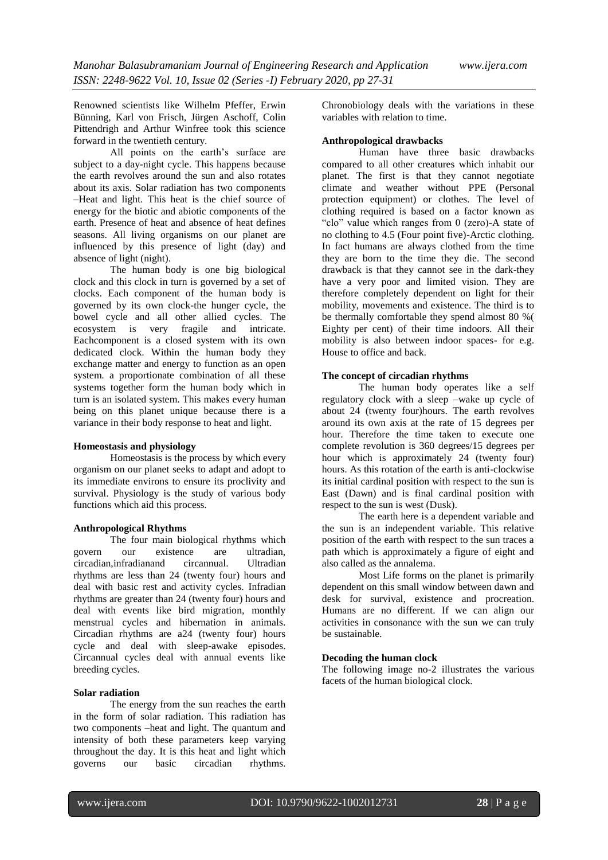Renowned scientists like Wilhelm Pfeffer, Erwin Bünning, Karl von Frisch, Jürgen Aschoff, Colin Pittendrigh and Arthur Winfree took this science forward in the twentieth century.

All points on the earth's surface are subject to a day-night cycle. This happens because the earth revolves around the sun and also rotates about its axis. Solar radiation has two components –Heat and light. This heat is the chief source of energy for the biotic and abiotic components of the earth. Presence of heat and absence of heat defines seasons. All living organisms on our planet are influenced by this presence of light (day) and absence of light (night).

The human body is one big biological clock and this clock in turn is governed by a set of clocks. Each component of the human body is governed by its own clock-the hunger cycle, the bowel cycle and all other allied cycles. The ecosystem is very fragile and intricate. Eachcomponent is a closed system with its own dedicated clock. Within the human body they exchange matter and energy to function as an open system. a proportionate combination of all these systems together form the human body which in turn is an isolated system. This makes every human being on this planet unique because there is a variance in their body response to heat and light.

## **Homeostasis and physiology**

Homeostasis is the process by which every organism on our planet seeks to adapt and adopt to its immediate environs to ensure its proclivity and survival. Physiology is the study of various body functions which aid this process.

#### **Anthropological Rhythms**

The four main biological rhythms which govern our existence are ultradian, circadian,infradianand circannual. Ultradian rhythms are less than 24 (twenty four) hours and deal with basic rest and activity cycles. Infradian rhythms are greater than 24 (twenty four) hours and deal with events like bird migration, monthly menstrual cycles and hibernation in animals. Circadian rhythms are a24 (twenty four) hours cycle and deal with sleep-awake episodes. Circannual cycles deal with annual events like breeding cycles.

## **Solar radiation**

The energy from the sun reaches the earth in the form of solar radiation. This radiation has two components –heat and light. The quantum and intensity of both these parameters keep varying throughout the day. It is this heat and light which governs our basic circadian rhythms.

Chronobiology deals with the variations in these variables with relation to time.

# **Anthropological drawbacks**

Human have three basic drawbacks compared to all other creatures which inhabit our planet. The first is that they cannot negotiate climate and weather without PPE (Personal protection equipment) or clothes. The level of clothing required is based on a factor known as "clo" value which ranges from 0 (zero)-A state of no clothing to 4.5 (Four point five)-Arctic clothing. In fact humans are always clothed from the time they are born to the time they die. The second drawback is that they cannot see in the dark-they have a very poor and limited vision. They are therefore completely dependent on light for their mobility, movements and existence. The third is to be thermally comfortable they spend almost 80 %( Eighty per cent) of their time indoors. All their mobility is also between indoor spaces- for e.g. House to office and back.

# **The concept of circadian rhythms**

The human body operates like a self regulatory clock with a sleep –wake up cycle of about 24 (twenty four)hours. The earth revolves around its own axis at the rate of 15 degrees per hour. Therefore the time taken to execute one complete revolution is 360 degrees/15 degrees per hour which is approximately 24 (twenty four) hours. As this rotation of the earth is anti-clockwise its initial cardinal position with respect to the sun is East (Dawn) and is final cardinal position with respect to the sun is west (Dusk).

The earth here is a dependent variable and the sun is an independent variable. This relative position of the earth with respect to the sun traces a path which is approximately a figure of eight and also called as the annalema.

Most Life forms on the planet is primarily dependent on this small window between dawn and desk for survival, existence and procreation. Humans are no different. If we can align our activities in consonance with the sun we can truly be sustainable.

## **Decoding the human clock**

The following image no-2 illustrates the various facets of the human biological clock.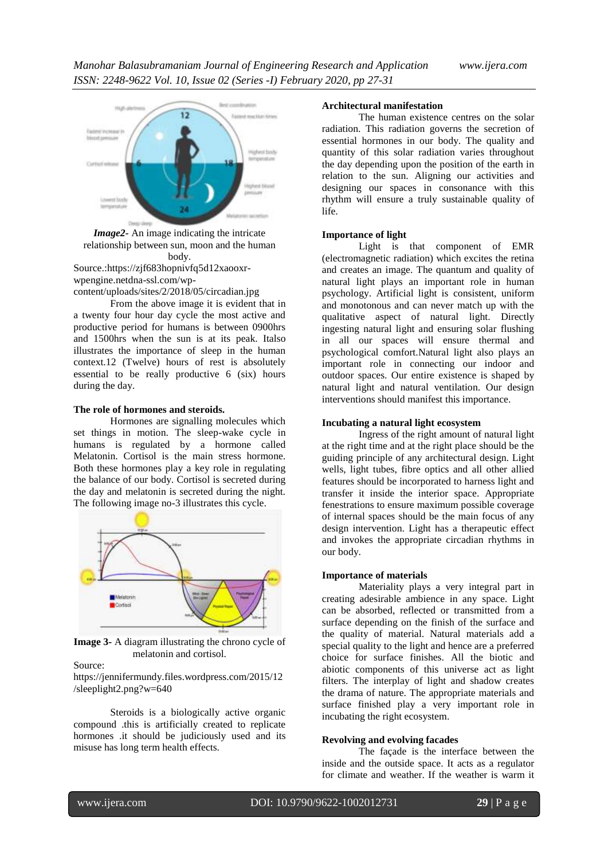

*Image2-* An image indicating the intricate relationship between sun, moon and the human body.

Source.[:https://zjf683hopnivfq5d12xaooxr](https://zjf683hopnivfq5d12xaooxr-wpengine.netdna-ssl.com/wp-content/uploads/sites/2/2018/05/circadian.jpg)[wpengine.netdna-ssl.com/wp-](https://zjf683hopnivfq5d12xaooxr-wpengine.netdna-ssl.com/wp-content/uploads/sites/2/2018/05/circadian.jpg)

[content/uploads/sites/2/2018/05/circadian.jpg](https://zjf683hopnivfq5d12xaooxr-wpengine.netdna-ssl.com/wp-content/uploads/sites/2/2018/05/circadian.jpg)

From the above image it is evident that in a twenty four hour day cycle the most active and productive period for humans is between 0900hrs and 1500hrs when the sun is at its peak. Italso illustrates the importance of sleep in the human context.12 (Twelve) hours of rest is absolutely essential to be really productive 6 (six) hours during the day.

## **The role of hormones and steroids.**

Hormones are signalling molecules which set things in motion. The sleep-wake cycle in humans is regulated by a hormone called Melatonin. Cortisol is the main stress hormone. Both these hormones play a key role in regulating the balance of our body. Cortisol is secreted during the day and melatonin is secreted during the night. The following image no-3 illustrates this cycle.



**Image 3-** A diagram illustrating the chrono cycle of melatonin and cortisol.

Source:

[https://jennifermundy.files.wordpress.com/2015/12](https://jennifermundy.files.wordpress.com/2015/12/sleeplight2.png?w=640) [/sleeplight2.png?w=640](https://jennifermundy.files.wordpress.com/2015/12/sleeplight2.png?w=640)

Steroids is a biologically active organic compound .this is artificially created to replicate hormones .it should be judiciously used and its misuse has long term health effects.

## **Architectural manifestation**

The human existence centres on the solar radiation. This radiation governs the secretion of essential hormones in our body. The quality and quantity of this solar radiation varies throughout the day depending upon the position of the earth in relation to the sun. Aligning our activities and designing our spaces in consonance with this rhythm will ensure a truly sustainable quality of life.

#### **Importance of light**

Light is that component of EMR (electromagnetic radiation) which excites the retina and creates an image. The quantum and quality of natural light plays an important role in human psychology. Artificial light is consistent, uniform and monotonous and can never match up with the qualitative aspect of natural light. Directly ingesting natural light and ensuring solar flushing in all our spaces will ensure thermal and psychological comfort.Natural light also plays an important role in connecting our indoor and outdoor spaces. Our entire existence is shaped by natural light and natural ventilation. Our design interventions should manifest this importance.

#### **Incubating a natural light ecosystem**

Ingress of the right amount of natural light at the right time and at the right place should be the guiding principle of any architectural design. Light wells, light tubes, fibre optics and all other allied features should be incorporated to harness light and transfer it inside the interior space. Appropriate fenestrations to ensure maximum possible coverage of internal spaces should be the main focus of any design intervention. Light has a therapeutic effect and invokes the appropriate circadian rhythms in our body.

#### **Importance of materials**

Materiality plays a very integral part in creating adesirable ambience in any space. Light can be absorbed, reflected or transmitted from a surface depending on the finish of the surface and the quality of material. Natural materials add a special quality to the light and hence are a preferred choice for surface finishes. All the biotic and abiotic components of this universe act as light filters. The interplay of light and shadow creates the drama of nature. The appropriate materials and surface finished play a very important role in incubating the right ecosystem.

#### **Revolving and evolving facades**

The façade is the interface between the inside and the outside space. It acts as a regulator for climate and weather. If the weather is warm it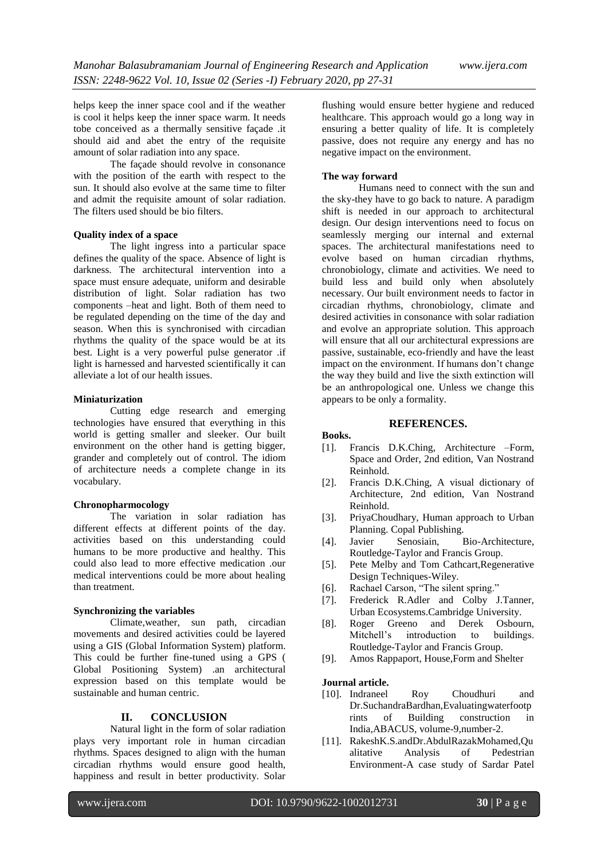helps keep the inner space cool and if the weather is cool it helps keep the inner space warm. It needs tobe conceived as a thermally sensitive façade .it should aid and abet the entry of the requisite amount of solar radiation into any space.

The facade should revolve in consonance with the position of the earth with respect to the sun. It should also evolve at the same time to filter and admit the requisite amount of solar radiation. The filters used should be bio filters.

## **Quality index of a space**

The light ingress into a particular space defines the quality of the space. Absence of light is darkness. The architectural intervention into a space must ensure adequate, uniform and desirable distribution of light. Solar radiation has two components –heat and light. Both of them need to be regulated depending on the time of the day and season. When this is synchronised with circadian rhythms the quality of the space would be at its best. Light is a very powerful pulse generator .if light is harnessed and harvested scientifically it can alleviate a lot of our health issues.

## **Miniaturization**

Cutting edge research and emerging technologies have ensured that everything in this world is getting smaller and sleeker. Our built environment on the other hand is getting bigger, grander and completely out of control. The idiom of architecture needs a complete change in its vocabulary.

## **Chronopharmocology**

The variation in solar radiation has different effects at different points of the day. activities based on this understanding could humans to be more productive and healthy. This could also lead to more effective medication .our medical interventions could be more about healing than treatment.

# **Synchronizing the variables**

Climate,weather, sun path, circadian movements and desired activities could be layered using a GIS (Global Information System) platform. This could be further fine-tuned using a GPS ( Global Positioning System) .an architectural expression based on this template would be sustainable and human centric.

# **II. CONCLUSION**

Natural light in the form of solar radiation plays very important role in human circadian rhythms. Spaces designed to align with the human circadian rhythms would ensure good health, happiness and result in better productivity. Solar

flushing would ensure better hygiene and reduced healthcare. This approach would go a long way in ensuring a better quality of life. It is completely passive, does not require any energy and has no negative impact on the environment.

# **The way forward**

Humans need to connect with the sun and the sky-they have to go back to nature. A paradigm shift is needed in our approach to architectural design. Our design interventions need to focus on seamlessly merging our internal and external spaces. The architectural manifestations need to evolve based on human circadian rhythms, chronobiology, climate and activities. We need to build less and build only when absolutely necessary. Our built environment needs to factor in circadian rhythms, chronobiology, climate and desired activities in consonance with solar radiation and evolve an appropriate solution. This approach will ensure that all our architectural expressions are passive, sustainable, eco-friendly and have the least impact on the environment. If humans don't change the way they build and live the sixth extinction will be an anthropological one. Unless we change this appears to be only a formality.

## **REFERENCES.**

## **Books.**

- [1]. Francis D.K.Ching, Architecture –Form, Space and Order, 2nd edition, Van Nostrand Reinhold.
- [2]. Francis D.K.Ching, A visual dictionary of Architecture, 2nd edition, Van Nostrand Reinhold.
- [3]. PriyaChoudhary, Human approach to Urban Planning. Copal Publishing.
- [4]. Javier Senosiain, Bio-Architecture, Routledge-Taylor and Francis Group.
- [5]. Pete Melby and Tom Cathcart,Regenerative Design Techniques-Wiley.
- [6]. Rachael Carson, "The silent spring."
- [7]. Frederick R.Adler and Colby J.Tanner, Urban Ecosystems.Cambridge University.
- [8]. Roger Greeno and Derek Osbourn, Mitchell's introduction to buildings. Routledge-Taylor and Francis Group.
- [9]. Amos Rappaport, House,Form and Shelter

# **Journal article.**

- [10]. Indraneel Roy Choudhuri and Dr.SuchandraBardhan,Evaluatingwaterfootp rints of Building construction in India,ABACUS, volume-9,number-2.
- [11]. RakeshK.S.andDr.AbdulRazakMohamed,Qu alitative Analysis of Pedestrian Environment-A case study of Sardar Patel